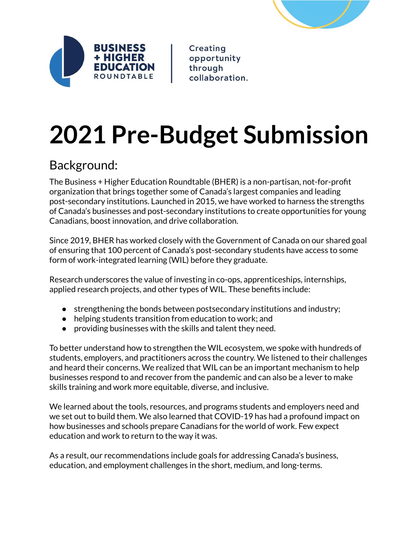



Creating opportunity through collaboration.

# **2021 Pre-Budget Submission**

# Background:

The Business + Higher Education Roundtable (BHER) is a non-partisan, not-for-profit organization that brings together some of Canada's largest companies and leading post-secondary institutions. Launched in 2015, we have worked to harness the strengths of Canada's businesses and post-secondary institutions to create opportunities for young Canadians, boost innovation, and drive collaboration.

Since 2019, BHER has worked closely with the Government of Canada on our shared goal of ensuring that 100 percent of Canada's post-secondary students have access to some form of work-integrated learning (WIL) before they graduate.

Research underscores the value of investing in co-ops, apprenticeships, internships, applied research projects, and other types of WIL. These benefits include:

- strengthening the bonds between postsecondary institutions and industry;
- helping students transition from education to work; and
- providing businesses with the skills and talent they need.

To better understand how to strengthen the WIL ecosystem, we spoke with hundreds of students, employers, and practitioners across the country. We listened to their challenges and heard their concerns. We realized that WIL can be an important mechanism to help businesses respond to and recover from the pandemic and can also be a lever to make skills training and work more equitable, diverse, and inclusive.

We learned about the tools, resources, and programs students and employers need and we set out to build them. We also learned that COVID-19 has had a profound impact on how businesses and schools prepare Canadians for the world of work. Few expect education and work to return to the way it was.

As a result, our recommendations include goals for addressing Canada's business, education, and employment challenges in the short, medium, and long-terms.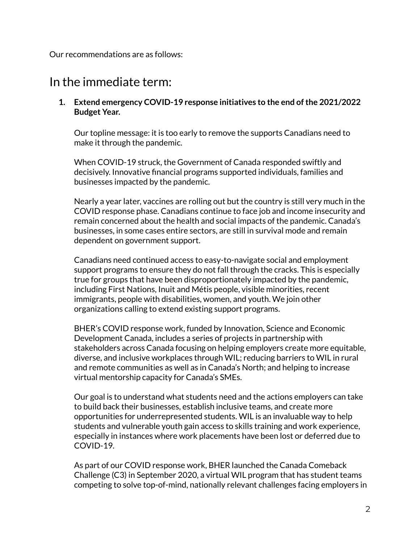Our recommendations are as follows:

## In the immediate term:

#### **1. Extend emergency COVID-19 response initiatives to the end ofthe 2021/2022 Budget Year.**

Our topline message: it is too early to remove the supports Canadians need to make it through the pandemic.

When COVID-19 struck, the Government of Canada responded swiftly and decisively. Innovative financial programs supported individuals, families and businesses impacted by the pandemic.

Nearly a year later, vaccines are rolling out but the country is still very much in the COVID response phase. Canadians continue to face job and income insecurity and remain concerned about the health and social impacts of the pandemic. Canada's businesses, in some cases entire sectors, are still in survival mode and remain dependent on government support.

Canadians need continued access to easy-to-navigate social and employment support programs to ensure they do not fall through the cracks. This is especially true for groups that have been disproportionately impacted by the pandemic, including First Nations, Inuit and Métis people, visible minorities, recent immigrants, people with disabilities, women, and youth. We join other organizations calling to extend existing support programs.

BHER's COVID response work, funded by Innovation, Science and Economic Development Canada, includes a series of projects in partnership with stakeholders across Canada focusing on helping employers create more equitable, diverse, and inclusive workplaces through WIL; reducing barriers to WIL in rural and remote communities as well as in Canada's North; and helping to increase virtual mentorship capacity for Canada's SMEs.

Our goal is to understand what students need and the actions employers can take to build back their businesses, establish inclusive teams, and create more opportunities for underrepresented students. WIL is an invaluable way to help students and vulnerable youth gain access to skills training and work experience, especially in instances where work placements have been lost or deferred due to COVID-19.

As part of our COVID response work, BHER launched the Canada Comeback Challenge (C3) in September 2020, a virtual WIL program that has student teams competing to solve top-of-mind, nationally relevant challenges facing employers in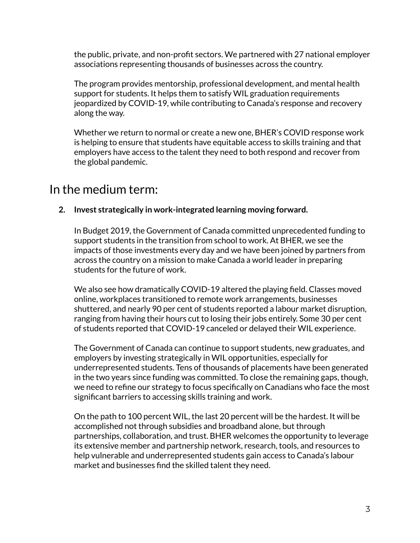the public, private, and non-profit sectors. We partnered with 27 national employer associations representing thousands of businesses across the country.

The program provides mentorship, professional development, and mental health support for students. It helps them to satisfy WIL graduation requirements jeopardized by COVID-19, while contributing to Canada's response and recovery along the way.

Whether we return to normal or create a new one, BHER's COVID response work is helping to ensure that students have equitable access to skills training and that employers have access to the talent they need to both respond and recover from the global pandemic.

## In the medium term:

**2. Invest strategically in work-integrated learning moving forward.**

In Budget 2019, the Government of Canada committed unprecedented funding to support students in the transition from school to work. At BHER, we see the impacts of those investments every day and we have been joined by partners from across the country on a mission to make Canada a world leader in preparing students for the future of work.

We also see how dramatically COVID-19 altered the playing field. Classes moved online, workplaces transitioned to remote work arrangements, businesses shuttered, and nearly 90 per cent of students reported a labour market disruption, ranging from having their hours cut to losing their jobs entirely. Some 30 per cent of students reported that COVID-19 canceled or delayed their WIL experience.

The Government of Canada can continue to support students, new graduates, and employers by investing strategically in WIL opportunities, especially for underrepresented students. Tens of thousands of placements have been generated in the two years since funding was committed. To close the remaining gaps, though, we need to refine our strategy to focus specifically on Canadians who face the most significant barriers to accessing skills training and work.

On the path to 100 percent WIL, the last 20 percent will be the hardest. It will be accomplished not through subsidies and broadband alone, but through partnerships, collaboration, and trust. BHER welcomes the opportunity to leverage its extensive member and partnership network, research, tools, and resources to help vulnerable and underrepresented students gain access to Canada's labour market and businesses find the skilled talent they need.